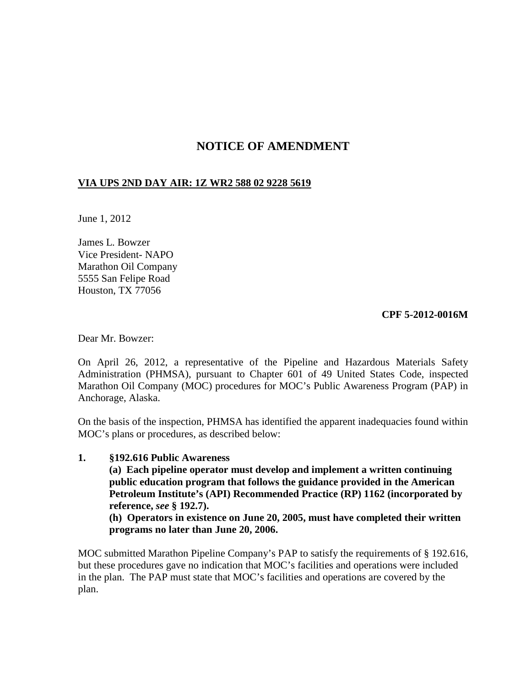# **NOTICE OF AMENDMENT**

#### **VIA UPS 2ND DAY AIR: 1Z WR2 588 02 9228 5619**

June 1, 2012

James L. Bowzer Vice President- NAPO Marathon Oil Company 5555 San Felipe Road Houston, TX 77056

#### **CPF 5-2012-0016M**

Dear Mr. Bowzer:

On April 26, 2012, a representative of the Pipeline and Hazardous Materials Safety Administration (PHMSA), pursuant to Chapter 601 of 49 United States Code, inspected Marathon Oil Company (MOC) procedures for MOC's Public Awareness Program (PAP) in Anchorage, Alaska.

On the basis of the inspection, PHMSA has identified the apparent inadequacies found within MOC's plans or procedures, as described below:

#### **1. §192.616 Public Awareness**

**(a) Each pipeline operator must develop and implement a written continuing public education program that follows the guidance provided in the American Petroleum Institute's (API) Recommended Practice (RP) 1162 (incorporated by reference,** *see* **§ 192.7).**

**(h) Operators in existence on June 20, 2005, must have completed their written programs no later than June 20, 2006.**

MOC submitted Marathon Pipeline Company's PAP to satisfy the requirements of § 192.616, but these procedures gave no indication that MOC's facilities and operations were included in the plan. The PAP must state that MOC's facilities and operations are covered by the plan.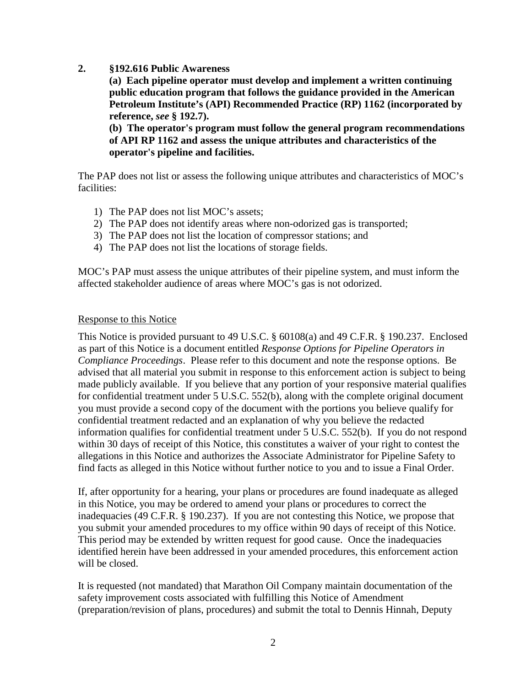## **2. §192.616 Public Awareness**

**(a) Each pipeline operator must develop and implement a written continuing public education program that follows the guidance provided in the American Petroleum Institute's (API) Recommended Practice (RP) 1162 (incorporated by reference,** *see* **§ 192.7).**

**(b) The operator's program must follow the general program recommendations of API RP 1162 and assess the unique attributes and characteristics of the operator's pipeline and facilities.**

The PAP does not list or assess the following unique attributes and characteristics of MOC's facilities:

- 1) The PAP does not list MOC's assets;
- 2) The PAP does not identify areas where non-odorized gas is transported;
- 3) The PAP does not list the location of compressor stations; and
- 4) The PAP does not list the locations of storage fields.

MOC's PAP must assess the unique attributes of their pipeline system, and must inform the affected stakeholder audience of areas where MOC's gas is not odorized.

### Response to this Notice

This Notice is provided pursuant to 49 U.S.C. § 60108(a) and 49 C.F.R. § 190.237. Enclosed as part of this Notice is a document entitled *Response Options for Pipeline Operators in Compliance Proceedings*. Please refer to this document and note the response options. Be advised that all material you submit in response to this enforcement action is subject to being made publicly available. If you believe that any portion of your responsive material qualifies for confidential treatment under 5 U.S.C. 552(b), along with the complete original document you must provide a second copy of the document with the portions you believe qualify for confidential treatment redacted and an explanation of why you believe the redacted information qualifies for confidential treatment under 5 U.S.C. 552(b). If you do not respond within 30 days of receipt of this Notice, this constitutes a waiver of your right to contest the allegations in this Notice and authorizes the Associate Administrator for Pipeline Safety to find facts as alleged in this Notice without further notice to you and to issue a Final Order.

If, after opportunity for a hearing, your plans or procedures are found inadequate as alleged in this Notice, you may be ordered to amend your plans or procedures to correct the inadequacies (49 C.F.R. § 190.237). If you are not contesting this Notice, we propose that you submit your amended procedures to my office within 90 days of receipt of this Notice. This period may be extended by written request for good cause. Once the inadequacies identified herein have been addressed in your amended procedures, this enforcement action will be closed.

It is requested (not mandated) that Marathon Oil Company maintain documentation of the safety improvement costs associated with fulfilling this Notice of Amendment (preparation/revision of plans, procedures) and submit the total to Dennis Hinnah, Deputy